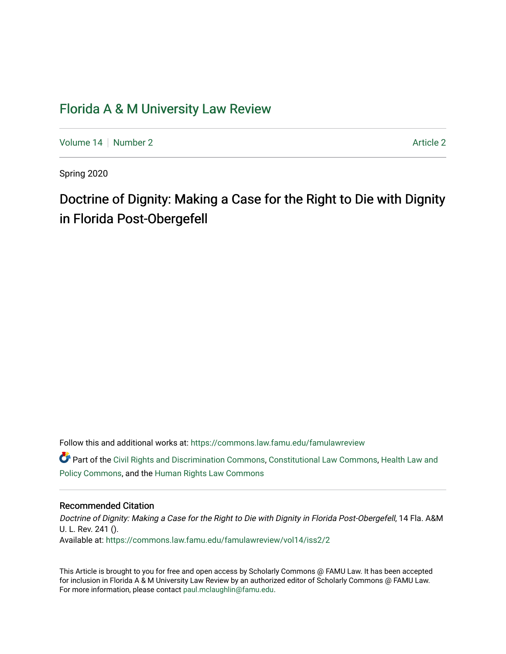# [Florida A & M University Law Review](https://commons.law.famu.edu/famulawreview)

[Volume 14](https://commons.law.famu.edu/famulawreview/vol14) | [Number 2](https://commons.law.famu.edu/famulawreview/vol14/iss2) [Article 2](https://commons.law.famu.edu/famulawreview/vol14/iss2/2) Article 2 Article 2 Article 2 Article 2 Article 2

Spring 2020

# Doctrine of Dignity: Making a Case for the Right to Die with Dignity in Florida Post-Obergefell

Follow this and additional works at: [https://commons.law.famu.edu/famulawreview](https://commons.law.famu.edu/famulawreview?utm_source=commons.law.famu.edu%2Ffamulawreview%2Fvol14%2Fiss2%2F2&utm_medium=PDF&utm_campaign=PDFCoverPages) 

Part of the [Civil Rights and Discrimination Commons,](http://network.bepress.com/hgg/discipline/585?utm_source=commons.law.famu.edu%2Ffamulawreview%2Fvol14%2Fiss2%2F2&utm_medium=PDF&utm_campaign=PDFCoverPages) [Constitutional Law Commons,](http://network.bepress.com/hgg/discipline/589?utm_source=commons.law.famu.edu%2Ffamulawreview%2Fvol14%2Fiss2%2F2&utm_medium=PDF&utm_campaign=PDFCoverPages) [Health Law and](http://network.bepress.com/hgg/discipline/901?utm_source=commons.law.famu.edu%2Ffamulawreview%2Fvol14%2Fiss2%2F2&utm_medium=PDF&utm_campaign=PDFCoverPages) [Policy Commons](http://network.bepress.com/hgg/discipline/901?utm_source=commons.law.famu.edu%2Ffamulawreview%2Fvol14%2Fiss2%2F2&utm_medium=PDF&utm_campaign=PDFCoverPages), and the [Human Rights Law Commons](http://network.bepress.com/hgg/discipline/847?utm_source=commons.law.famu.edu%2Ffamulawreview%2Fvol14%2Fiss2%2F2&utm_medium=PDF&utm_campaign=PDFCoverPages) 

# Recommended Citation

Doctrine of Dignity: Making a Case for the Right to Die with Dignity in Florida Post-Obergefell, 14 Fla. A&M U. L. Rev. 241 (). Available at: [https://commons.law.famu.edu/famulawreview/vol14/iss2/2](https://commons.law.famu.edu/famulawreview/vol14/iss2/2?utm_source=commons.law.famu.edu%2Ffamulawreview%2Fvol14%2Fiss2%2F2&utm_medium=PDF&utm_campaign=PDFCoverPages)

This Article is brought to you for free and open access by Scholarly Commons @ FAMU Law. It has been accepted for inclusion in Florida A & M University Law Review by an authorized editor of Scholarly Commons @ FAMU Law. For more information, please contact [paul.mclaughlin@famu.edu](mailto:paul.mclaughlin@famu.edu).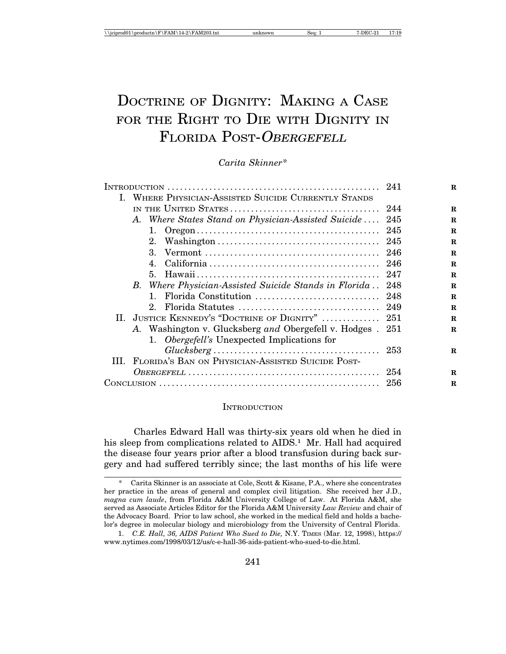# DOCTRINE OF DIGNITY: MAKING A CASE FOR THE RIGHT TO DIE WITH DIGNITY IN FLORIDA POST-OBERGEFELL

*Carita Skinner\**

|  |                                                            |     | $\mathbf R$ |
|--|------------------------------------------------------------|-----|-------------|
|  | I. WHERE PHYSICIAN-ASSISTED SUICIDE CURRENTLY STANDS       |     |             |
|  |                                                            |     | $\mathbf R$ |
|  | A. Where States Stand on Physician-Assisted Suicide        | 245 | $\mathbf R$ |
|  | 1.                                                         |     | $\mathbf R$ |
|  |                                                            |     | $\mathbf R$ |
|  | $3_{-}$                                                    |     | $\mathbf R$ |
|  | 4.                                                         |     | $\mathbf R$ |
|  |                                                            | 247 | $\mathbf R$ |
|  | B. Where Physician-Assisted Suicide Stands in Florida 248  |     | $\mathbf R$ |
|  | 1.                                                         |     | $\mathbf R$ |
|  |                                                            |     | $\mathbf R$ |
|  | II. JUSTICE KENNEDY'S "DOCTRINE OF DIGNITY"                | 251 | $\mathbf R$ |
|  | A. Washington v. Glucksberg and Obergefell v. Hodges . 251 |     | R           |
|  | 1. Obergefell's Unexpected Implications for                |     |             |
|  |                                                            |     | $\mathbf R$ |
|  | III. FLORIDA'S BAN ON PHYSICIAN-ASSISTED SUICIDE POST-     |     |             |
|  |                                                            | 254 | R           |
|  |                                                            |     | R           |
|  |                                                            |     |             |

#### **INTRODUCTION**

Charles Edward Hall was thirty-six years old when he died in his sleep from complications related to AIDS.<sup>1</sup> Mr. Hall had acquired the disease four years prior after a blood transfusion during back surgery and had suffered terribly since; the last months of his life were

Carita Skinner is an associate at Cole, Scott & Kisane, P.A., where she concentrates her practice in the areas of general and complex civil litigation. She received her J.D., *magna cum laude*, from Florida A&M University College of Law. At Florida A&M, she served as Associate Articles Editor for the Florida A&M University *Law Review* and chair of the Advocacy Board. Prior to law school, she worked in the medical field and holds a bachelor's degree in molecular biology and microbiology from the University of Central Florida.

<sup>1.</sup> *C.E. Hall, 36, AIDS Patient Who Sued to Die,* N.Y. TIMES (Mar. 12, 1998), https:// www.nytimes.com/1998/03/12/us/c-e-hall-36-aids-patient-who-sued-to-die.html.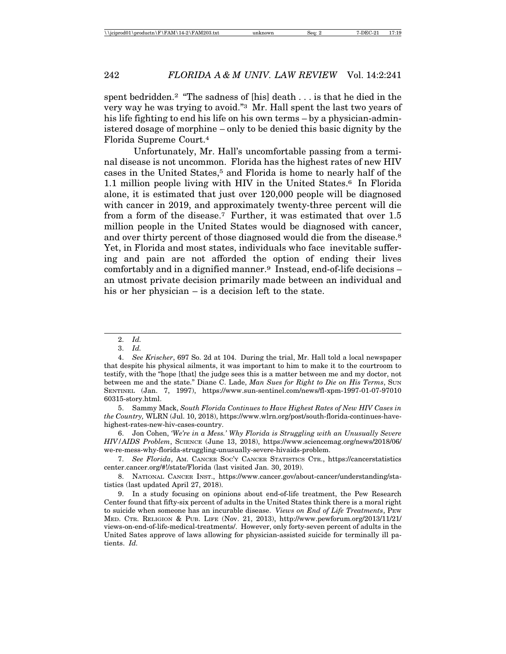spent bedridden.2 "The sadness of [his] death . . . is that he died in the very way he was trying to avoid."3 Mr. Hall spent the last two years of his life fighting to end his life on his own terms – by a physician-administered dosage of morphine – only to be denied this basic dignity by the Florida Supreme Court.4

Unfortunately, Mr. Hall's uncomfortable passing from a terminal disease is not uncommon. Florida has the highest rates of new HIV cases in the United States,<sup>5</sup> and Florida is home to nearly half of the 1.1 million people living with HIV in the United States.<sup>6</sup> In Florida alone, it is estimated that just over 120,000 people will be diagnosed with cancer in 2019, and approximately twenty-three percent will die from a form of the disease.7 Further, it was estimated that over 1.5 million people in the United States would be diagnosed with cancer, and over thirty percent of those diagnosed would die from the disease.<sup>8</sup> Yet, in Florida and most states, individuals who face inevitable suffering and pain are not afforded the option of ending their lives comfortably and in a dignified manner.<sup>9</sup> Instead, end-of-life decisions – an utmost private decision primarily made between an individual and his or her physician – is a decision left to the state.

6. Jon Cohen, *'We're in a Mess.' Why Florida is Struggling with an Unusually Severe HIV/AIDS Problem*, SCIENCE (June 13, 2018), https://www.sciencemag.org/news/2018/06/ we-re-mess-why-florida-struggling-unusually-severe-hivaids-problem.

7. *See Florida*, AM. CANCER SOC'Y CANCER STATISTICS CTR., https://cancerstatistics center.cancer.org/#!/state/Florida (last visited Jan. 30, 2019).

8. NATIONAL CANCER INST., https://www.cancer.gov/about-cancer/understanding/statistics (last updated April 27, 2018).

<sup>2.</sup> *Id.*

<sup>3.</sup> *Id.*

<sup>4.</sup> *See Krischer*, 697 So. 2d at 104. During the trial, Mr. Hall told a local newspaper that despite his physical ailments, it was important to him to make it to the courtroom to testify, with the "hope [that] the judge sees this is a matter between me and my doctor, not between me and the state." Diane C. Lade, *Man Sues for Right to Die on His Terms*, SUN SENTINEL (Jan. 7, 1997), https://www.sun-sentinel.com/news/fl-xpm-1997-01-07-97010 60315-story.html.

<sup>5.</sup> Sammy Mack, *South Florida Continues to Have Highest Rates of New HIV Cases in the Country,* WLRN (Jul. 10, 2018), https://www.wlrn.org/post/south-florida-continues-havehighest-rates-new-hiv-cases-country.

<sup>9.</sup> In a study focusing on opinions about end-of-life treatment, the Pew Research Center found that fifty-six percent of adults in the United States think there is a moral right to suicide when someone has an incurable disease. *Views on End of Life Treatments*, PEW MED. CTR. RELIGION & PUB. LIFE (Nov. 21, 2013), http://www.pewforum.org/2013/11/21/ views-on-end-of-life-medical-treatments/. However, only forty-seven percent of adults in the United Sates approve of laws allowing for physician-assisted suicide for terminally ill patients. *Id.*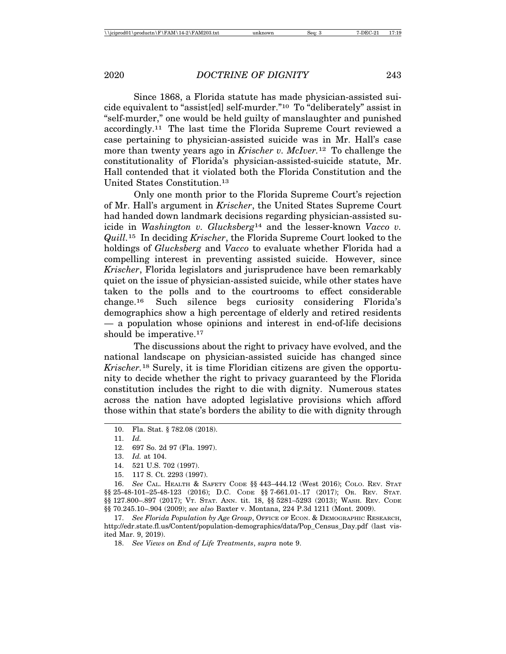Since 1868, a Florida statute has made physician-assisted suicide equivalent to "assist[ed] self-murder."10 To "deliberately" assist in "self-murder," one would be held guilty of manslaughter and punished accordingly.11 The last time the Florida Supreme Court reviewed a case pertaining to physician-assisted suicide was in Mr. Hall's case more than twenty years ago in *Krischer v. McIver.*12 To challenge the constitutionality of Florida's physician-assisted-suicide statute, Mr. Hall contended that it violated both the Florida Constitution and the United States Constitution.13

Only one month prior to the Florida Supreme Court's rejection of Mr. Hall's argument in *Krischer*, the United States Supreme Court had handed down landmark decisions regarding physician-assisted suicide in *Washington v. Glucksberg*14 and the lesser-known *Vacco v. Quill.*15 In deciding *Krischer*, the Florida Supreme Court looked to the holdings of *Glucksberg* and *Vacco* to evaluate whether Florida had a compelling interest in preventing assisted suicide. However, since *Krischer*, Florida legislators and jurisprudence have been remarkably quiet on the issue of physician-assisted suicide, while other states have taken to the polls and to the courtrooms to effect considerable change.16 Such silence begs curiosity considering Florida's demographics show a high percentage of elderly and retired residents — a population whose opinions and interest in end-of-life decisions should be imperative.<sup>17</sup>

The discussions about the right to privacy have evolved, and the national landscape on physician-assisted suicide has changed since *Krischer.*18 Surely, it is time Floridian citizens are given the opportunity to decide whether the right to privacy guaranteed by the Florida constitution includes the right to die with dignity. Numerous states across the nation have adopted legislative provisions which afford those within that state's borders the ability to die with dignity through

12. 697 So. 2d 97 (Fla. 1997).

13. *Id.* at 104.

- 14. 521 U.S. 702 (1997).
- 15. 117 S. Ct. 2293 (1997).

16. *See* CAL. HEALTH & SAFETY CODE §§ 443–444.12 (West 2016); COLO. REV. STAT §§ 25-48-101–25-48-123 (2016); D.C. CODE §§ 7-661.01-.17 (2017); OR. REV. STAT. §§ 127.800-.897 (2017); VT. STAT. ANN. tit. 18, §§ 5281-5293 (2013); WASH. REV. CODE §§ 70.245.10–.904 (2009); *see also* Baxter v. Montana, 224 P.3d 1211 (Mont. 2009).

17. *See Florida Population by Age Group*, OFFICE OF ECON. & DEMOGRAPHIC RESEARCH, http://edr.state.fl.us/Content/population-demographics/data/Pop\_Census\_Day.pdf (last visited Mar. 9, 2019).

18. *See Views on End of Life Treatments*, *supra* note 9.

<sup>10.</sup> Fla. Stat. § 782.08 (2018).

<sup>11.</sup> *Id.*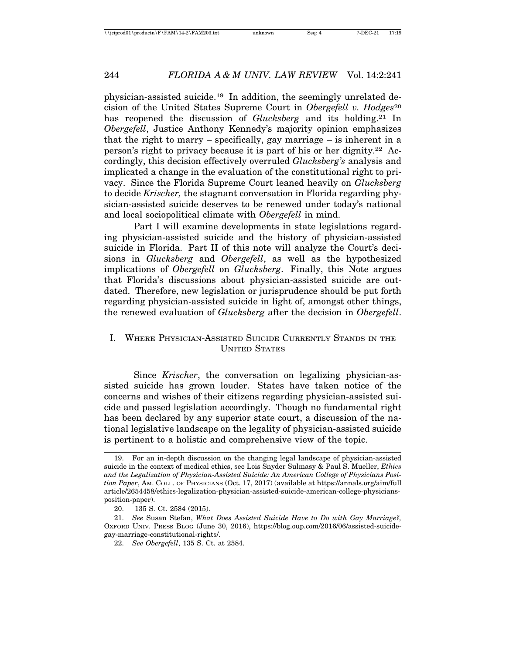physician-assisted suicide.19 In addition, the seemingly unrelated decision of the United States Supreme Court in *Obergefell v. Hodges*<sup>20</sup> has reopened the discussion of *Glucksberg* and its holding.<sup>21</sup> In *Obergefell*, Justice Anthony Kennedy's majority opinion emphasizes that the right to marry – specifically, gay marriage – is inherent in a person's right to privacy because it is part of his or her dignity.22 Accordingly, this decision effectively overruled *Glucksberg's* analysis and implicated a change in the evaluation of the constitutional right to privacy. Since the Florida Supreme Court leaned heavily on *Glucksberg* to decide *Krischer,* the stagnant conversation in Florida regarding physician-assisted suicide deserves to be renewed under today's national and local sociopolitical climate with *Obergefell* in mind.

Part I will examine developments in state legislations regarding physician-assisted suicide and the history of physician-assisted suicide in Florida. Part II of this note will analyze the Court's decisions in *Glucksberg* and *Obergefell*, as well as the hypothesized implications of *Obergefell* on *Glucksberg*. Finally, this Note argues that Florida's discussions about physician-assisted suicide are outdated. Therefore, new legislation or jurisprudence should be put forth regarding physician-assisted suicide in light of, amongst other things, the renewed evaluation of *Glucksberg* after the decision in *Obergefell*.

# I. WHERE PHYSICIAN-ASSISTED SUICIDE CURRENTLY STANDS IN THE UNITED STATES

Since *Krischer*, the conversation on legalizing physician-assisted suicide has grown louder. States have taken notice of the concerns and wishes of their citizens regarding physician-assisted suicide and passed legislation accordingly. Though no fundamental right has been declared by any superior state court, a discussion of the national legislative landscape on the legality of physician-assisted suicide is pertinent to a holistic and comprehensive view of the topic.

<sup>19.</sup> For an in-depth discussion on the changing legal landscape of physician-assisted suicide in the context of medical ethics, see Lois Snyder Sulmasy & Paul S. Mueller, *Ethics and the Legalization of Physician-Assisted Suicide: An American College of Physicians Position Paper*, AM. COLL. OF PHYSICIANS (Oct. 17, 2017) (available at https://annals.org/aim/full article/2654458/ethics-legalization-physician-assisted-suicide-american-college-physiciansposition-paper).

<sup>20. 135</sup> S. Ct. 2584 (2015).

<sup>21.</sup> *See* Susan Stefan, *What Does Assisted Suicide Have to Do with Gay Marriage?,* OXFORD UNIV. PRESS BLOG (June 30, 2016), https://blog.oup.com/2016/06/assisted-suicidegay-marriage-constitutional-rights/.

<sup>22.</sup> *See Obergefell*, 135 S. Ct. at 2584.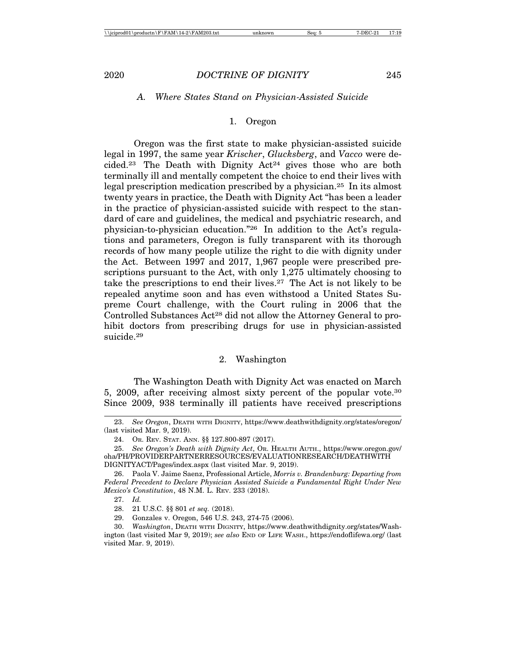#### *A. Where States Stand on Physician-Assisted Suicide*

#### 1. Oregon

Oregon was the first state to make physician-assisted suicide legal in 1997, the same year *Krischer*, *Glucksberg*, and *Vacco* were decided.<sup>23</sup> The Death with Dignity  $Act^{24}$  gives those who are both terminally ill and mentally competent the choice to end their lives with legal prescription medication prescribed by a physician.25 In its almost twenty years in practice, the Death with Dignity Act "has been a leader in the practice of physician-assisted suicide with respect to the standard of care and guidelines, the medical and psychiatric research, and physician-to-physician education."26 In addition to the Act's regulations and parameters, Oregon is fully transparent with its thorough records of how many people utilize the right to die with dignity under the Act. Between 1997 and 2017, 1,967 people were prescribed prescriptions pursuant to the Act, with only 1,275 ultimately choosing to take the prescriptions to end their lives.27 The Act is not likely to be repealed anytime soon and has even withstood a United States Supreme Court challenge, with the Court ruling in 2006 that the Controlled Substances Act28 did not allow the Attorney General to prohibit doctors from prescribing drugs for use in physician-assisted suicide.29

#### 2. Washington

The Washington Death with Dignity Act was enacted on March 5, 2009, after receiving almost sixty percent of the popular vote.30 Since 2009, 938 terminally ill patients have received prescriptions

- 25. *See Oregon's Death with Dignity Act*, OR. HEALTH AUTH., https://www.oregon.gov/ oha/PH/PROVIDERPARTNERRESOURCES/EVALUATIONRESEARCH/DEATHWITH DIGNITYACT/Pages/index.aspx (last visited Mar. 9, 2019).
- 26. Paola V. Jaime Saenz, Professional Article, *Morris v. Brandenburg: Departing from Federal Precedent to Declare Physician Assisted Suicide a Fundamental Right Under New Mexico's Constitution*, 48 N.M. L. REV. 233 (2018).

<sup>23.</sup> *See Oregon*, DEATH WITH DIGNITY, https://www.deathwithdignity.org/states/oregon/ (last visited Mar. 9, 2019).

<sup>24.</sup> OR. REV. STAT. ANN. §§ 127.800-897 (2017).

<sup>27.</sup> *Id.*

<sup>28. 21</sup> U.S.C. §§ 801 *et seq.* (2018).

<sup>29.</sup> Gonzales v. Oregon, 546 U.S. 243, 274-75 (2006).

<sup>30.</sup> *Washington*, DEATH WITH DIGNITY, https://www.deathwithdignity.org/states/Washington (last visited Mar 9, 2019); *see also* END OF LIFE WASH., https://endoflifewa.org/ (last visited Mar. 9, 2019).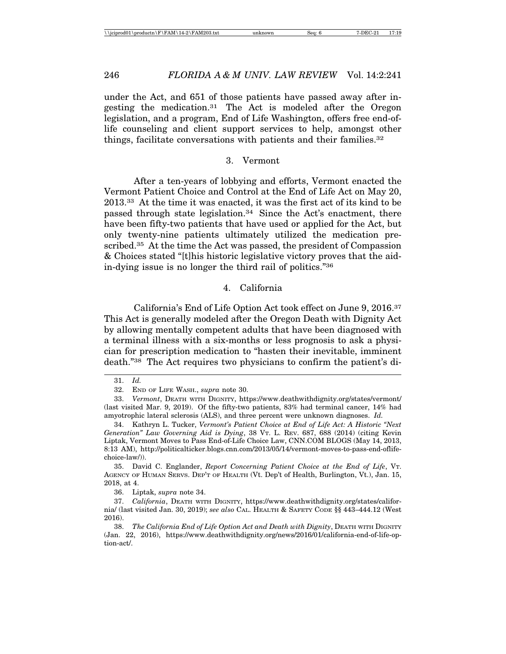under the Act, and 651 of those patients have passed away after ingesting the medication.31 The Act is modeled after the Oregon legislation, and a program, End of Life Washington, offers free end-oflife counseling and client support services to help, amongst other things, facilitate conversations with patients and their families.32

#### 3. Vermont

After a ten-years of lobbying and efforts, Vermont enacted the Vermont Patient Choice and Control at the End of Life Act on May 20, 2013.33 At the time it was enacted, it was the first act of its kind to be passed through state legislation.<sup>34</sup> Since the Act's enactment, there have been fifty-two patients that have used or applied for the Act, but only twenty-nine patients ultimately utilized the medication prescribed.35 At the time the Act was passed, the president of Compassion & Choices stated "[t]his historic legislative victory proves that the aidin-dying issue is no longer the third rail of politics."36

#### 4. California

California's End of Life Option Act took effect on June 9, 2016.37 This Act is generally modeled after the Oregon Death with Dignity Act by allowing mentally competent adults that have been diagnosed with a terminal illness with a six-months or less prognosis to ask a physician for prescription medication to "hasten their inevitable, imminent death."38 The Act requires two physicians to confirm the patient's di-

<sup>31.</sup> *Id.*

<sup>32.</sup> END OF LIFE WASH., *supra* note 30.

<sup>33.</sup> *Vermont*, DEATH WITH DIGNITY, https://www.deathwithdignity.org/states/vermont/ (last visited Mar. 9, 2019). Of the fifty-two patients, 83% had terminal cancer, 14% had amyotrophic lateral sclerosis (ALS), and three percent were unknown diagnoses. *Id.*

<sup>34.</sup> Kathryn L. Tucker, *Vermont's Patient Choice at End of Life Act: A Historic "Next Generation" Law Governing Aid is Dying*, 38 VT. L. REV. 687, 688 (2014) (citing Kevin Liptak, Vermont Moves to Pass End-of-Life Choice Law, CNN.COM BLOGS (May 14, 2013, 8:13 AM), http://politicalticker.blogs.cnn.com/2013/05/14/vermont-moves-to-pass-end-oflifechoice-law/)).

<sup>35.</sup> David C. Englander, *Report Concerning Patient Choice at the End of Life*, VT. AGENCY OF HUMAN SERVS. DEP'T OF HEALTH (Vt. Dep't of Health, Burlington, Vt.), Jan. 15, 2018, at 4.

<sup>36.</sup> Liptak, *supra* note 34.

<sup>37.</sup> *California*, DEATH WITH DIGNITY, https://www.deathwithdignity.org/states/california/ (last visited Jan. 30, 2019); *see also* CAL. HEALTH & SAFETY CODE §§ 443–444.12 (West 2016).

<sup>38.</sup> *The California End of Life Option Act and Death with Dignity*, DEATH WITH DIGNITY (Jan. 22, 2016), https://www.deathwithdignity.org/news/2016/01/california-end-of-life-option-act/.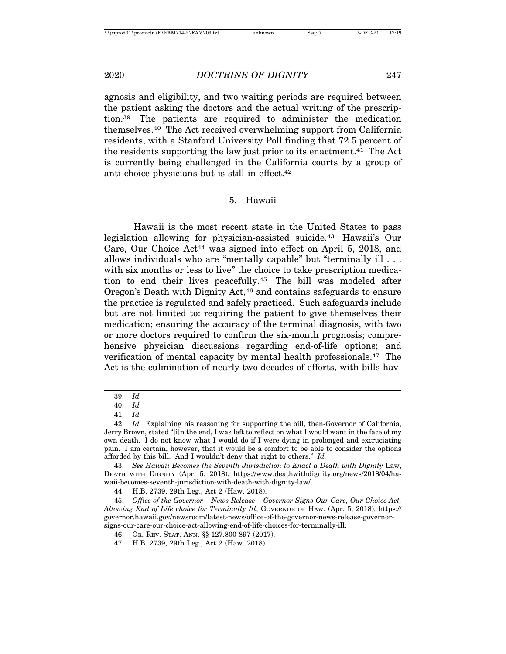agnosis and eligibility, and two waiting periods are required between the patient asking the doctors and the actual writing of the prescription.39 The patients are required to administer the medication themselves.40 The Act received overwhelming support from California residents, with a Stanford University Poll finding that 72.5 percent of the residents supporting the law just prior to its enactment.41 The Act is currently being challenged in the California courts by a group of anti-choice physicians but is still in effect.42

#### 5. Hawaii

Hawaii is the most recent state in the United States to pass legislation allowing for physician-assisted suicide.43 Hawaii's Our Care, Our Choice Act44 was signed into effect on April 5, 2018, and allows individuals who are "mentally capable" but "terminally ill . . . with six months or less to live" the choice to take prescription medication to end their lives peacefully.45 The bill was modeled after Oregon's Death with Dignity Act,46 and contains safeguards to ensure the practice is regulated and safely practiced. Such safeguards include but are not limited to: requiring the patient to give themselves their medication; ensuring the accuracy of the terminal diagnosis, with two or more doctors required to confirm the six-month prognosis; comprehensive physician discussions regarding end-of-life options; and verification of mental capacity by mental health professionals.47 The Act is the culmination of nearly two decades of efforts, with bills hav-

<sup>39.</sup> *Id.*

<sup>40.</sup> *Id.*

<sup>41.</sup> *Id.*

<sup>42.</sup> *Id.* Explaining his reasoning for supporting the bill, then-Governor of California, Jerry Brown, stated "[i]n the end, I was left to reflect on what I would want in the face of my own death. I do not know what I would do if I were dying in prolonged and excruciating pain. I am certain, however, that it would be a comfort to be able to consider the options afforded by this bill. And I wouldn't deny that right to others." *Id.*

<sup>43.</sup> *See Hawaii Becomes the Seventh Jurisdiction to Enact a Death with Dignity* Law, DEATH WITH DIGNITY (Apr. 5, 2018), https://www.deathwithdignity.org/news/2018/04/hawaii-becomes-seventh-jurisdiction-with-death-with-dignity-law/.

<sup>44.</sup> H.B. 2739, 29th Leg., Act 2 (Haw. 2018).

<sup>45.</sup> *Office of the Governor – News Release – Governor Signs Our Care, Our Choice Act, Allowing End of Life choice for Terminally Ill*, GOVERNOR OF HAW. (Apr. 5, 2018), https:// governor.hawaii.gov/newsroom/latest-news/office-of-the-governor-news-release-governorsigns-our-care-our-choice-act-allowing-end-of-life-choices-for-terminally-ill.

<sup>46.</sup> OR. REV. STAT. ANN. §§ 127.800-897 (2017).

<sup>47.</sup> H.B. 2739, 29th Leg., Act 2 (Haw. 2018).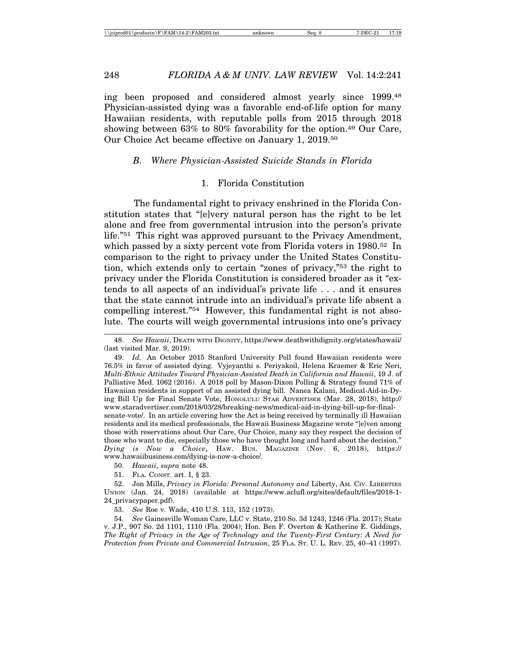ing been proposed and considered almost yearly since 1999.48 Physician-assisted dying was a favorable end-of-life option for many Hawaiian residents, with reputable polls from 2015 through 2018 showing between 63% to 80% favorability for the option.49 Our Care, Our Choice Act became effective on January 1, 2019.50

#### *B. Where Physician-Assisted Suicide Stands in Florida*

#### 1. Florida Constitution

The fundamental right to privacy enshrined in the Florida Constitution states that "[e]very natural person has the right to be let alone and free from governmental intrusion into the person's private life."51 This right was approved pursuant to the Privacy Amendment, which passed by a sixty percent vote from Florida voters in 1980.<sup>52</sup> In comparison to the right to privacy under the United States Constitution, which extends only to certain "zones of privacy,"53 the right to privacy under the Florida Constitution is considered broader as it "extends to all aspects of an individual's private life . . . and it ensures that the state cannot intrude into an individual's private life absent a compelling interest."54 However, this fundamental right is not absolute. The courts will weigh governmental intrusions into one's privacy

51. FLA. CONST. art. I, § 23.

<sup>48.</sup> *See Hawaii*, DEATH WITH DIGNITY, https://www.deathwithdignity.org/states/hawaii/ (last visited Mar. 9, 2019).

<sup>49.</sup> *Id.* An October 2015 Stanford University Poll found Hawaiian residents were 76.5% in favor of assisted dying. Vyjeyanthi s. Periyakoil, Helena Kraemer & Eric Neri, *Multi-Ethnic Attitudes Toward Physician-Assisted Death in California and Hawaii*, 19 J. of Palliative Med. 1062 (2016). A 2018 poll by Mason-Dixon Polling & Strategy found 71% of Hawaiian residents in support of an assisted dying bill. Nanea Kalani, Medical-Aid-in-Dying Bill Up for Final Senate Vote, HONOLULU STAR ADVERTISER (Mar. 28, 2018), http:// www.staradvertiser.com/2018/03/28/breaking-news/medical-aid-in-dying-bill-up-for-finalsenate-vote/. In an article covering how the Act is being received by terminally ill Hawaiian residents and its medical professionals, the Hawaii Business Magazine wrote "[e]ven among those with reservations about Our Care, Our Choice, many say they respect the decision of those who want to die, especially those who have thought long and hard about the decision." *Dying is Now a Choice*, HAW. BUS. MAGAZINE (Nov. 6, 2018), https:// www.hawaiibusiness.com/dying-is-now-a-choice/.

<sup>50.</sup> *Hawaii*, *supra* note 48.

<sup>52.</sup> Jon Mills, *Privacy in Florida: Personal Autonomy and* Liberty, AM. CIV. LIBERTIES UNION (Jan. 24, 2018) (available at https://www.aclufl.org/sites/default/files/2018-1- 24\_privacypaper.pdf).

<sup>53.</sup> *See* Roe v. Wade, 410 U.S. 113, 152 (1973).

<sup>54.</sup> *See* Gainesville Woman Care, LLC v. State, 210 So. 3d 1243, 1246 (Fla. 2017); State v. J.P., 907 So. 2d 1101, 1110 (Fla. 2004); Hon. Ben F. Overton & Katherine E. Giddings, *The Right of Privacy in the Age of Technology and the Twenty-First Century: A Need for Protection from Private and Commercial Intrusion*, 25 FLA. ST. U. L. REV. 25, 40–41 (1997).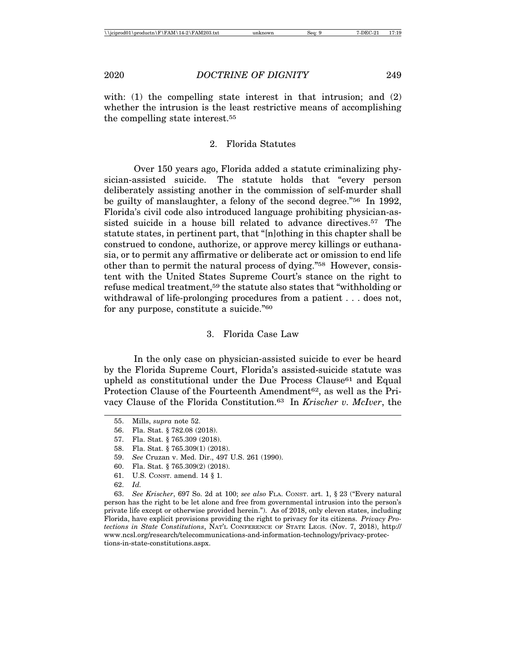with:  $(1)$  the compelling state interest in that intrusion; and  $(2)$ whether the intrusion is the least restrictive means of accomplishing the compelling state interest.55

#### 2. Florida Statutes

Over 150 years ago, Florida added a statute criminalizing physician-assisted suicide. The statute holds that "every person deliberately assisting another in the commission of self-murder shall be guilty of manslaughter, a felony of the second degree."56 In 1992, Florida's civil code also introduced language prohibiting physician-assisted suicide in a house bill related to advance directives.57 The statute states, in pertinent part, that "[n]othing in this chapter shall be construed to condone, authorize, or approve mercy killings or euthanasia, or to permit any affirmative or deliberate act or omission to end life other than to permit the natural process of dying."58 However, consistent with the United States Supreme Court's stance on the right to refuse medical treatment,59 the statute also states that "withholding or withdrawal of life-prolonging procedures from a patient . . . does not, for any purpose, constitute a suicide."60

#### 3. Florida Case Law

In the only case on physician-assisted suicide to ever be heard by the Florida Supreme Court, Florida's assisted-suicide statute was upheld as constitutional under the Due Process Clause<sup>61</sup> and Equal Protection Clause of the Fourteenth Amendment<sup>62</sup>, as well as the Privacy Clause of the Florida Constitution.63 In *Krischer v. McIver*, the

<sup>55.</sup> Mills, *supra* note 52.

<sup>56.</sup> Fla. Stat. § 782.08 (2018).

<sup>57.</sup> Fla. Stat. § 765.309 (2018).

<sup>58.</sup> Fla. Stat. § 765.309(1) (2018).

<sup>59.</sup> *See* Cruzan v. Med. Dir., 497 U.S. 261 (1990).

<sup>60.</sup> Fla. Stat. § 765.309(2) (2018).

<sup>61.</sup> U.S. CONST. amend. 14 § 1.

<sup>62.</sup> *Id.*

<sup>63.</sup> *See Krischer*, 697 So. 2d at 100; *see also* FLA. CONST. art. 1, § 23 ("Every natural person has the right to be let alone and free from governmental intrusion into the person's private life except or otherwise provided herein."). As of 2018, only eleven states, including Florida, have explicit provisions providing the right to privacy for its citizens. *Privacy Protections in State Constitutions*, NAT'L CONFERENCE OF STATE LEGS. (Nov. 7, 2018), http:// www.ncsl.org/research/telecommunications-and-information-technology/privacy-protections-in-state-constitutions.aspx.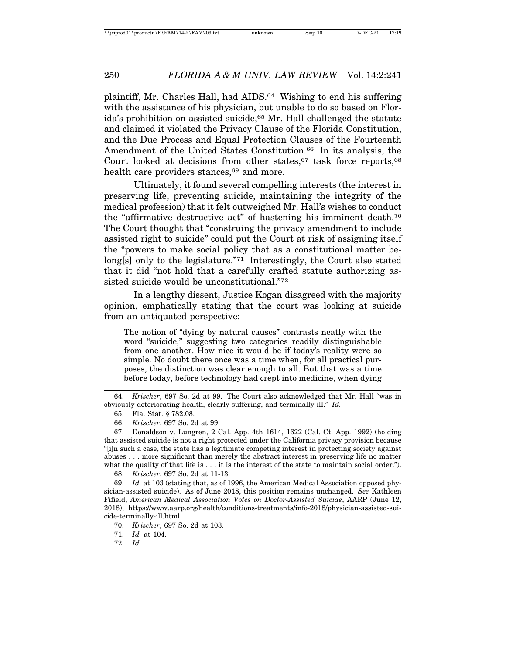plaintiff, Mr. Charles Hall, had AIDS.64 Wishing to end his suffering with the assistance of his physician, but unable to do so based on Florida's prohibition on assisted suicide,<sup>65</sup> Mr. Hall challenged the statute and claimed it violated the Privacy Clause of the Florida Constitution, and the Due Process and Equal Protection Clauses of the Fourteenth Amendment of the United States Constitution.<sup>66</sup> In its analysis, the Court looked at decisions from other states,  $67$  task force reports,  $68$ health care providers stances,<sup>69</sup> and more.

Ultimately, it found several compelling interests (the interest in preserving life, preventing suicide, maintaining the integrity of the medical profession) that it felt outweighed Mr. Hall's wishes to conduct the "affirmative destructive act" of hastening his imminent death.70 The Court thought that "construing the privacy amendment to include assisted right to suicide" could put the Court at risk of assigning itself the "powers to make social policy that as a constitutional matter belong[s] only to the legislature."<sup>71</sup> Interestingly, the Court also stated that it did "not hold that a carefully crafted statute authorizing assisted suicide would be unconstitutional."72

In a lengthy dissent, Justice Kogan disagreed with the majority opinion, emphatically stating that the court was looking at suicide from an antiquated perspective:

The notion of "dying by natural causes" contrasts neatly with the word "suicide," suggesting two categories readily distinguishable from one another. How nice it would be if today's reality were so simple. No doubt there once was a time when, for all practical purposes, the distinction was clear enough to all. But that was a time before today, before technology had crept into medicine, when dying

68. *Krischer*, 697 So. 2d at 11-13.

69. *Id.* at 103 (stating that, as of 1996, the American Medical Association opposed physician-assisted suicide). As of June 2018, this position remains unchanged. *See* Kathleen Fifield, *American Medical Association Votes on Doctor-Assisted Suicide*, AARP (June 12, 2018), https://www.aarp.org/health/conditions-treatments/info-2018/physician-assisted-suicide-terminally-ill.html.

72. *Id.*

<sup>64.</sup> *Krischer*, 697 So. 2d at 99. The Court also acknowledged that Mr. Hall "was in obviously deteriorating health, clearly suffering, and terminally ill." *Id.*

<sup>65.</sup> Fla. Stat. § 782.08.

<sup>66.</sup> *Krischer*, 697 So. 2d at 99.

<sup>67.</sup> Donaldson v. Lungren, 2 Cal. App. 4th 1614, 1622 (Cal. Ct. App. 1992) (holding that assisted suicide is not a right protected under the California privacy provision because "[i]n such a case, the state has a legitimate competing interest in protecting society against abuses . . . more significant than merely the abstract interest in preserving life no matter what the quality of that life is . . . it is the interest of the state to maintain social order.").

<sup>70.</sup> *Krischer*, 697 So. 2d at 103.

<sup>71.</sup> *Id.* at 104.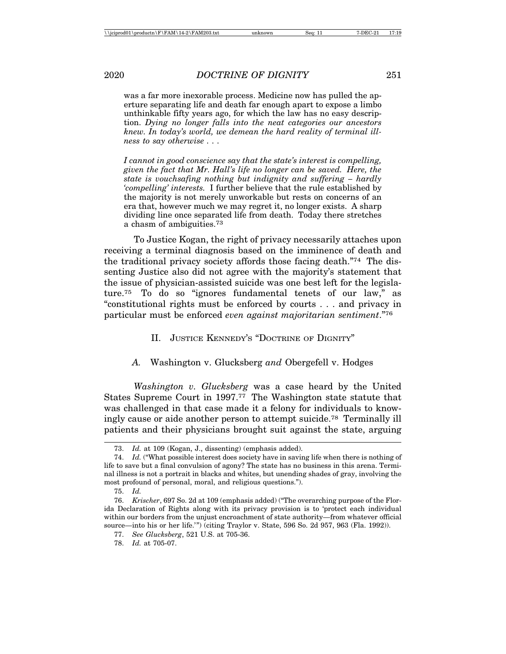was a far more inexorable process. Medicine now has pulled the aperture separating life and death far enough apart to expose a limbo unthinkable fifty years ago, for which the law has no easy description. *Dying no longer falls into the neat categories our ancestors knew. In today's world, we demean the hard reality of terminal illness to say otherwise . . .*

*I cannot in good conscience say that the state's interest is compelling, given the fact that Mr. Hall's life no longer can be saved. Here, the state is vouchsafing nothing but indignity and suffering – hardly 'compelling' interests.* I further believe that the rule established by the majority is not merely unworkable but rests on concerns of an era that, however much we may regret it, no longer exists. A sharp dividing line once separated life from death. Today there stretches a chasm of ambiguities.73

To Justice Kogan, the right of privacy necessarily attaches upon receiving a terminal diagnosis based on the imminence of death and the traditional privacy society affords those facing death."74 The dissenting Justice also did not agree with the majority's statement that the issue of physician-assisted suicide was one best left for the legislature.75 To do so "ignores fundamental tenets of our law," as "constitutional rights must be enforced by courts . . . and privacy in particular must be enforced *even against majoritarian sentiment*."76

- II. JUSTICE KENNEDY'S "DOCTRINE OF DIGNITY"
- *A.* Washington v. Glucksberg *and* Obergefell v. Hodges

*Washington v. Glucksberg* was a case heard by the United States Supreme Court in 1997.77 The Washington state statute that was challenged in that case made it a felony for individuals to knowingly cause or aide another person to attempt suicide.78 Terminally ill patients and their physicians brought suit against the state, arguing

<sup>73.</sup> *Id.* at 109 (Kogan, J., dissenting) (emphasis added).

<sup>74.</sup> *Id.* ("What possible interest does society have in saving life when there is nothing of life to save but a final convulsion of agony? The state has no business in this arena. Terminal illness is not a portrait in blacks and whites, but unending shades of gray, involving the most profound of personal, moral, and religious questions.").

<sup>75.</sup> *Id.*

<sup>76.</sup> *Krischer*, 697 So. 2d at 109 (emphasis added) ("The overarching purpose of the Florida Declaration of Rights along with its privacy provision is to 'protect each individual within our borders from the unjust encroachment of state authority—from whatever official source—into his or her life.'") (citing Traylor v. State, 596 So. 2d 957, 963 (Fla. 1992)).

<sup>77.</sup> *See Glucksberg*, 521 U.S. at 705-36.

<sup>78.</sup> *Id.* at 705-07.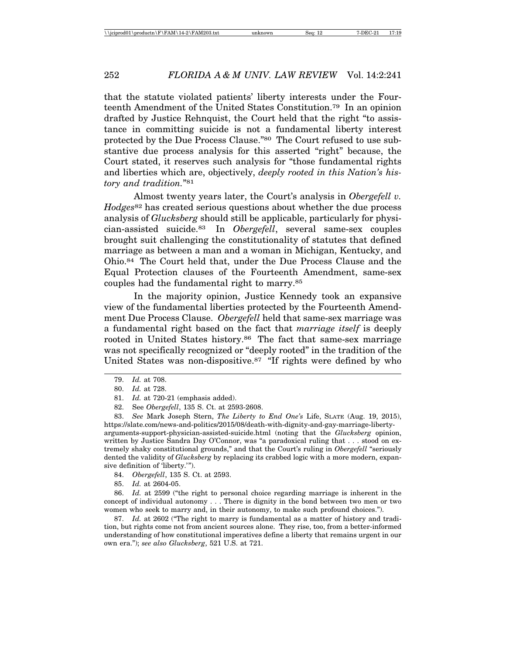that the statute violated patients' liberty interests under the Fourteenth Amendment of the United States Constitution.79 In an opinion drafted by Justice Rehnquist, the Court held that the right "to assistance in committing suicide is not a fundamental liberty interest protected by the Due Process Clause."80 The Court refused to use substantive due process analysis for this asserted "right" because, the Court stated, it reserves such analysis for "those fundamental rights and liberties which are, objectively, *deeply rooted in this Nation's history and tradition.*"81

Almost twenty years later, the Court's analysis in *Obergefell v. Hodges*82 has created serious questions about whether the due process analysis of *Glucksberg* should still be applicable, particularly for physician-assisted suicide.83 In *Obergefell*, several same-sex couples brought suit challenging the constitutionality of statutes that defined marriage as between a man and a woman in Michigan, Kentucky, and Ohio.84 The Court held that, under the Due Process Clause and the Equal Protection clauses of the Fourteenth Amendment, same-sex couples had the fundamental right to marry.85

In the majority opinion, Justice Kennedy took an expansive view of the fundamental liberties protected by the Fourteenth Amendment Due Process Clause. *Obergefell* held that same-sex marriage was a fundamental right based on the fact that *marriage itself* is deeply rooted in United States history.<sup>86</sup> The fact that same-sex marriage was not specifically recognized or "deeply rooted" in the tradition of the United States was non-dispositive.<sup>87</sup> "If rights were defined by who

83. *See* Mark Joseph Stern, *The Liberty to End One's* Life, SLATE (Aug. 19, 2015), https://slate.com/news-and-politics/2015/08/death-with-dignity-and-gay-marriage-libertyarguments-support-physician-assisted-suicide.html (noting that the *Glucksberg* opinion, written by Justice Sandra Day O'Connor, was "a paradoxical ruling that . . . stood on extremely shaky constitutional grounds," and that the Court's ruling in *Obergefell* "seriously dented the validity of *Glucksberg* by replacing its crabbed logic with a more modern, expansive definition of 'liberty.'").

84. *Obergefell*, 135 S. Ct. at 2593.

85. *Id.* at 2604-05.

86. *Id.* at 2599 ("the right to personal choice regarding marriage is inherent in the concept of individual autonomy . . . There is dignity in the bond between two men or two women who seek to marry and, in their autonomy, to make such profound choices.").

87. *Id.* at 2602 ("The right to marry is fundamental as a matter of history and tradition, but rights come not from ancient sources alone. They rise, too, from a better-informed understanding of how constitutional imperatives define a liberty that remains urgent in our own era."); *see also Glucksberg*, 521 U.S. at 721.

<sup>79.</sup> *Id.* at 708.

<sup>80.</sup> *Id.* at 728.

<sup>81.</sup> *Id.* at 720-21 (emphasis added).

<sup>82.</sup> See *Obergefell*, 135 S. Ct. at 2593-2608.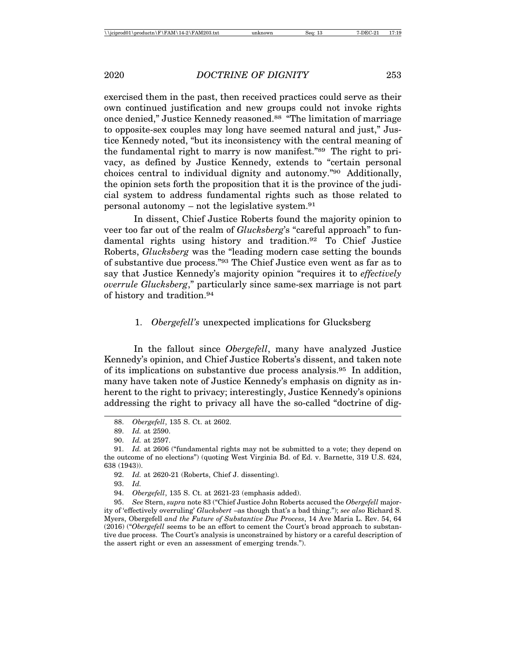exercised them in the past, then received practices could serve as their own continued justification and new groups could not invoke rights once denied," Justice Kennedy reasoned.<sup>88</sup> "The limitation of marriage to opposite-sex couples may long have seemed natural and just," Justice Kennedy noted, "but its inconsistency with the central meaning of the fundamental right to marry is now manifest."89 The right to privacy, as defined by Justice Kennedy, extends to "certain personal choices central to individual dignity and autonomy."90 Additionally, the opinion sets forth the proposition that it is the province of the judicial system to address fundamental rights such as those related to personal autonomy – not the legislative system. $91$ 

In dissent, Chief Justice Roberts found the majority opinion to veer too far out of the realm of *Glucksberg*'s "careful approach" to fundamental rights using history and tradition.92 To Chief Justice Roberts, *Glucksberg* was the "leading modern case setting the bounds of substantive due process."93 The Chief Justice even went as far as to say that Justice Kennedy's majority opinion "requires it to *effectively overrule Glucksberg*," particularly since same-sex marriage is not part of history and tradition.94

#### 1. *Obergefell's* unexpected implications for Glucksberg

In the fallout since *Obergefell*, many have analyzed Justice Kennedy's opinion, and Chief Justice Roberts's dissent, and taken note of its implications on substantive due process analysis.95 In addition, many have taken note of Justice Kennedy's emphasis on dignity as inherent to the right to privacy; interestingly, Justice Kennedy's opinions addressing the right to privacy all have the so-called "doctrine of dig-

93. *Id.*

95. *See* Stern, *supra* note 83 ("Chief Justice John Roberts accused the *Obergefell* majority of 'effectively overruling' *Glucksbert* –as though that's a bad thing."); *see also* Richard S. Myers, Obergefell *and the Future of Substantive Due Process*, 14 Ave Maria L. Rev. 54, 64 (2016) ("*Obergefell* seems to be an effort to cement the Court's broad approach to substantive due process. The Court's analysis is unconstrained by history or a careful description of the assert right or even an assessment of emerging trends.").

<sup>88.</sup> *Obergefell*, 135 S. Ct. at 2602.

<sup>89.</sup> *Id.* at 2590.

<sup>90.</sup> *Id.* at 2597.

<sup>91.</sup> *Id.* at 2606 ("fundamental rights may not be submitted to a vote; they depend on the outcome of no elections") (quoting West Virginia Bd. of Ed. v. Barnette, 319 U.S. 624, 638 (1943)).

<sup>92.</sup> *Id.* at 2620-21 (Roberts, Chief J. dissenting).

<sup>94.</sup> *Obergefell*, 135 S. Ct. at 2621-23 (emphasis added).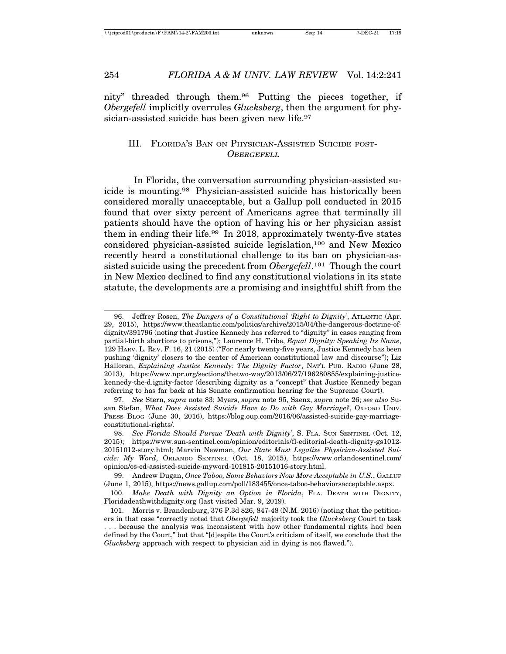nity" threaded through them.96 Putting the pieces together, if *Obergefell* implicitly overrules *Glucksberg*, then the argument for physician-assisted suicide has been given new life.<sup>97</sup>

# III. FLORIDA'S BAN ON PHYSICIAN-ASSISTED SUICIDE POST-**OBERGEFELL**

In Florida, the conversation surrounding physician-assisted suicide is mounting.98 Physician-assisted suicide has historically been considered morally unacceptable, but a Gallup poll conducted in 2015 found that over sixty percent of Americans agree that terminally ill patients should have the option of having his or her physician assist them in ending their life.99 In 2018, approximately twenty-five states considered physician-assisted suicide legislation,100 and New Mexico recently heard a constitutional challenge to its ban on physician-assisted suicide using the precedent from *Obergefell*.101 Though the court in New Mexico declined to find any constitutional violations in its state statute, the developments are a promising and insightful shift from the

<sup>96.</sup> Jeffrey Rosen, *The Dangers of a Constitutional 'Right to Dignity'*, ATLANTIC (Apr. 29, 2015), https://www.theatlantic.com/politics/archive/2015/04/the-dangerous-doctrine-ofdignity/391796 (noting that Justice Kennedy has referred to "dignity" in cases ranging from partial-birth abortions to prisons,"); Laurence H. Tribe, *Equal Dignity: Speaking Its Name*, 129 HARV. L. REV. F. 16, 21 (2015) ("For nearly twenty-five years, Justice Kennedy has been pushing 'dignity' closers to the center of American constitutional law and discourse"); Liz Halloran, *Explaining Justice Kennedy: The Dignity Factor*, NAT'L PUB. RADIO (June 28, 2013), https://www.npr.org/sections/thetwo-way/2013/06/27/196280855/explaining-justicekennedy-the-d.ignity-factor (describing dignity as a "concept" that Justice Kennedy began referring to has far back at his Senate confirmation hearing for the Supreme Court).

<sup>97.</sup> *See* Stern, *supra* note 83; Myers, *supra* note 95, Saenz, *supra* note 26; *see also* Susan Stefan, What Does Assisted Suicide Have to Do with Gay Marriage?, OXFORD UNIV. PRESS BLOG (June 30, 2016), https://blog.oup.com/2016/06/assisted-suicide-gay-marriageconstitutional-rights/.

<sup>98.</sup> *See Florida Should Pursue 'Death with Dignity'*, S. FLA. SUN SENTINEL (Oct. 12, 2015); https://www.sun-sentinel.com/opinion/editorials/fl-editorial-death-dignity-gs1012- 20151012-story.html; Marvin Newman, *Our State Must Legalize Physician-Assisted Suicide: My Word*, ORLANDO SENTINEL (Oct. 18, 2015), https://www.orlandosentinel.com/ opinion/os-ed-assisted-suicide-myword-101815-20151016-story.html.

<sup>99.</sup> Andrew Dugan, *Once Taboo, Some Behaviors Now More Acceptable in U.S.*, GALLUP (June 1, 2015), https://news.gallup.com/poll/183455/once-taboo-behaviorsacceptable.aspx.

<sup>100.</sup> *Make Death with Dignity an Option in Florida*, FLA. DEATH WITH DIGNITY, Floridadeathwithdignity.org (last visited Mar. 9, 2019).

<sup>101.</sup> Morris v. Brandenburg, 376 P.3d 826, 847-48 (N.M. 2016) (noting that the petitioners in that case "correctly noted that *Obergefell* majority took the *Glucksberg* Court to task . . . because the analysis was inconsistent with how other fundamental rights had been defined by the Court," but that "[d]espite the Court's criticism of itself, we conclude that the *Glucksberg* approach with respect to physician aid in dying is not flawed.").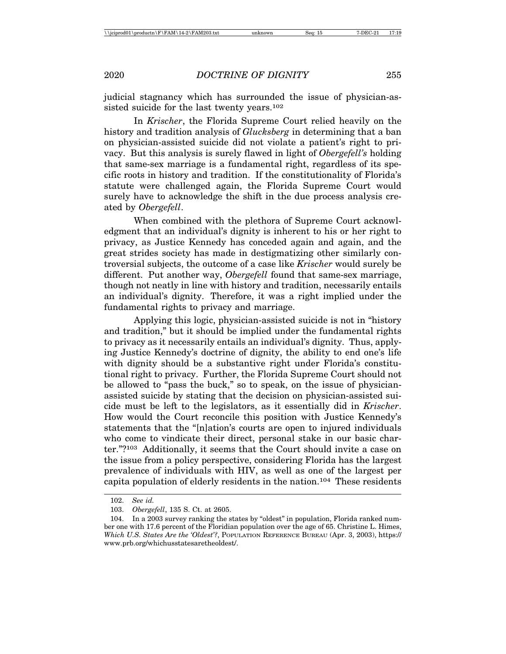judicial stagnancy which has surrounded the issue of physician-assisted suicide for the last twenty years.<sup>102</sup>

In *Krischer*, the Florida Supreme Court relied heavily on the history and tradition analysis of *Glucksberg* in determining that a ban on physician-assisted suicide did not violate a patient's right to privacy. But this analysis is surely flawed in light of *Obergefell's* holding that same-sex marriage is a fundamental right, regardless of its specific roots in history and tradition. If the constitutionality of Florida's statute were challenged again, the Florida Supreme Court would surely have to acknowledge the shift in the due process analysis created by *Obergefell*.

When combined with the plethora of Supreme Court acknowledgment that an individual's dignity is inherent to his or her right to privacy, as Justice Kennedy has conceded again and again, and the great strides society has made in destigmatizing other similarly controversial subjects, the outcome of a case like *Krischer* would surely be different. Put another way, *Obergefell* found that same-sex marriage, though not neatly in line with history and tradition, necessarily entails an individual's dignity. Therefore, it was a right implied under the fundamental rights to privacy and marriage.

Applying this logic, physician-assisted suicide is not in "history and tradition," but it should be implied under the fundamental rights to privacy as it necessarily entails an individual's dignity. Thus, applying Justice Kennedy's doctrine of dignity, the ability to end one's life with dignity should be a substantive right under Florida's constitutional right to privacy. Further, the Florida Supreme Court should not be allowed to "pass the buck," so to speak, on the issue of physicianassisted suicide by stating that the decision on physician-assisted suicide must be left to the legislators, as it essentially did in *Krischer*. How would the Court reconcile this position with Justice Kennedy's statements that the "[n]ation's courts are open to injured individuals who come to vindicate their direct, personal stake in our basic charter."?103 Additionally, it seems that the Court should invite a case on the issue from a policy perspective, considering Florida has the largest prevalence of individuals with HIV, as well as one of the largest per capita population of elderly residents in the nation.104 These residents

<sup>102.</sup> *See id.*

<sup>103.</sup> *Obergefell*, 135 S. Ct. at 2605.

<sup>104.</sup> In a 2003 survey ranking the states by "oldest" in population, Florida ranked number one with 17.6 percent of the Floridian population over the age of 65. Christine L. Himes, *Which U.S. States Are the 'Oldest'?*, POPULATION REFERENCE BUREAU (Apr. 3, 2003), https:// www.prb.org/whichusstatesaretheoldest/.